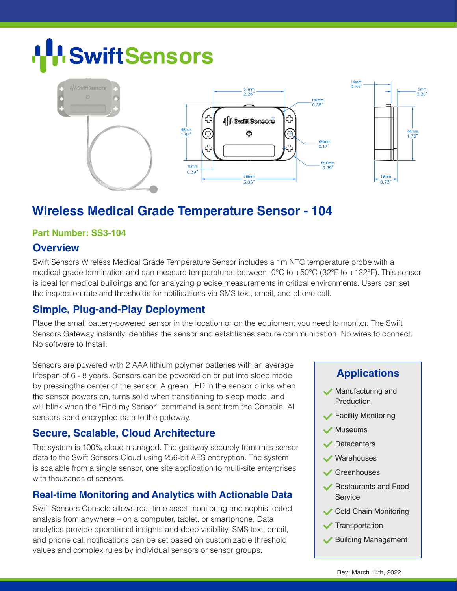# **Swift Sensors**



# **Wireless Medical Grade Temperature Sensor - 104**

#### **Part Number: SS3-104**

#### **Overview**

Swift Sensors Wireless Medical Grade Temperature Sensor includes a 1m NTC temperature probe with a medical grade termination and can measure temperatures between -0°C to +50°C (32°F to +122°F). This sensor is ideal for medical buildings and for analyzing precise measurements in critical environments. Users can set the inspection rate and thresholds for notifications via SMS text, email, and phone call.

# **Simple, Plug-and-Play Deployment**

Place the small battery-powered sensor in the location or on the equipment you need to monitor. The Swift Sensors Gateway instantly identifies the sensor and establishes secure communication. No wires to connect. No software to Install.

Sensors are powered with 2 AAA lithium polymer batteries with an average lifespan of 6 - 8 years. Sensors can be powered on or put into sleep mode by pressingthe center of the sensor. A green LED in the sensor blinks when the sensor powers on, turns solid when transitioning to sleep mode, and will blink when the "Find my Sensor" command is sent from the Console. All sensors send encrypted data to the gateway.

# **Secure, Scalable, Cloud Architecture**

The system is 100% cloud-managed. The gateway securely transmits sensor data to the Swift Sensors Cloud using 256-bit AES encryption. The system is scalable from a single sensor, one site application to multi-site enterprises with thousands of sensors.

# **Real-time Monitoring and Analytics with Actionable Data**

Swift Sensors Console allows real-time asset monitoring and sophisticated analysis from anywhere – on a computer, tablet, or smartphone. Data analytics provide operational insights and deep visibility. SMS text, email, and phone call notifications can be set based on customizable threshold values and complex rules by individual sensors or sensor groups.

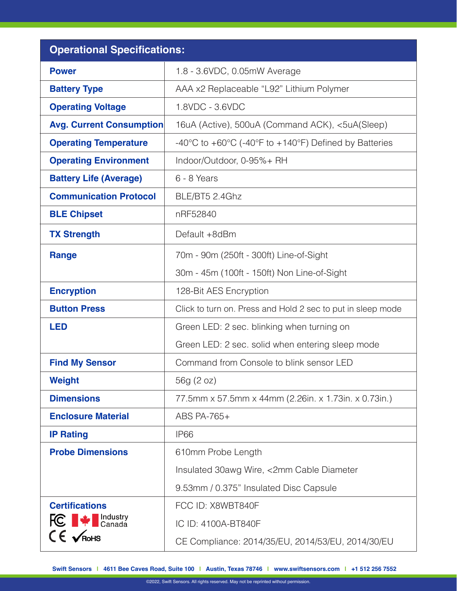| <b>Operational Specifications:</b>               |                                                                                                |
|--------------------------------------------------|------------------------------------------------------------------------------------------------|
| <b>Power</b>                                     | 1.8 - 3.6VDC, 0.05mW Average                                                                   |
| <b>Battery Type</b>                              | AAA x2 Replaceable "L92" Lithium Polymer                                                       |
| <b>Operating Voltage</b>                         | 1.8VDC - 3.6VDC                                                                                |
| <b>Avg. Current Consumption</b>                  | 16uA (Active), 500uA (Command ACK), <5uA(Sleep)                                                |
| <b>Operating Temperature</b>                     | $-40^{\circ}$ C to $+60^{\circ}$ C ( $-40^{\circ}$ F to $+140^{\circ}$ F) Defined by Batteries |
| <b>Operating Environment</b>                     | Indoor/Outdoor, 0-95%+ RH                                                                      |
| <b>Battery Life (Average)</b>                    | 6 - 8 Years                                                                                    |
| <b>Communication Protocol</b>                    | BLE/BT5 2.4Ghz                                                                                 |
| <b>BLE Chipset</b>                               | nRF52840                                                                                       |
| <b>TX Strength</b>                               | Default +8dBm                                                                                  |
| <b>Range</b>                                     | 70m - 90m (250ft - 300ft) Line-of-Sight                                                        |
|                                                  | 30m - 45m (100ft - 150ft) Non Line-of-Sight                                                    |
| <b>Encryption</b>                                | 128-Bit AES Encryption                                                                         |
| <b>Button Press</b>                              | Click to turn on. Press and Hold 2 sec to put in sleep mode                                    |
| <b>LED</b>                                       | Green LED: 2 sec. blinking when turning on                                                     |
|                                                  | Green LED: 2 sec. solid when entering sleep mode                                               |
| <b>Find My Sensor</b>                            | Command from Console to blink sensor LED                                                       |
| <b>Weight</b>                                    | 56g (2 oz)                                                                                     |
| <b>Dimensions</b>                                | 77.5mm x 57.5mm x 44mm (2.26in. x 1.73in. x 0.73in.)                                           |
| <b>Enclosure Material</b>                        | ABS PA-765+                                                                                    |
| <b>IP Rating</b>                                 | IP <sub>66</sub>                                                                               |
| <b>Probe Dimensions</b>                          | 610mm Probe Length                                                                             |
|                                                  | Insulated 30awg Wire, <2mm Cable Diameter                                                      |
|                                                  | 9.53mm / 0.375" Insulated Disc Capsule                                                         |
| <b>Certifications</b>                            | FCC ID: X8WBT840F                                                                              |
| <b>FC</b> $\blacktriangleright$ <b>FC</b> Canada | IC ID: 4100A-BT840F                                                                            |
| $CE$ $\sqrt{R}$ oHS                              | CE Compliance: 2014/35/EU, 2014/53/EU, 2014/30/EU                                              |